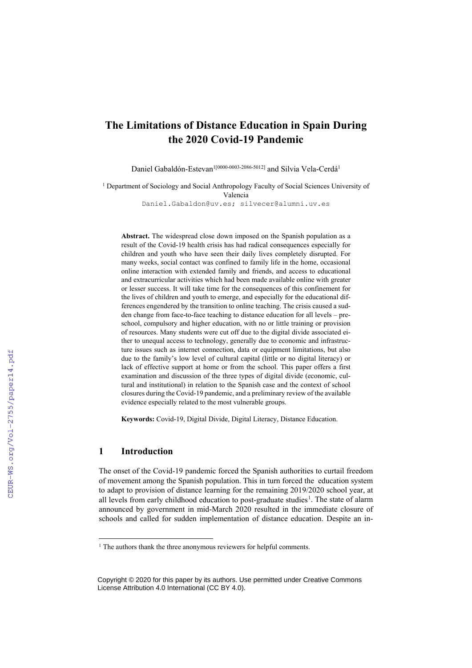# **The Limitations of Distance Education in Spain During the 2020 Covid-19 Pandemic**

Daniel Gabaldón-Estevan<sup>1[0000-0003-2086-5012]</sup> and Silvia Vela-Cerdá<sup>1</sup>

<sup>1</sup> Department of Sociology and Social Anthropology Faculty of Social Sciences University of Valencia

[Daniel.Gabaldon@uv.es;](mailto:Daniel.Gabaldon@uv.es) silvecer@alumni.uv.es

**Abstract.** The widespread close down imposed on the Spanish population as a result of the Covid-19 health crisis has had radical consequences especially for children and youth who have seen their daily lives completely disrupted. For many weeks, social contact was confined to family life in the home, occasional online interaction with extended family and friends, and access to educational and extracurricular activities which had been made available online with greater or lesser success. It will take time for the consequences of this confinement for the lives of children and youth to emerge, and especially for the educational differences engendered by the transition to online teaching. The crisis caused a sudden change from face-to-face teaching to distance education for all levels – preschool, compulsory and higher education, with no or little training or provision of resources. Many students were cut off due to the digital divide associated either to unequal access to technology, generally due to economic and infrastructure issues such as internet connection, data or equipment limitations, but also due to the family's low level of cultural capital (little or no digital literacy) or lack of effective support at home or from the school. This paper offers a first examination and discussion of the three types of digital divide (economic, cultural and institutional) in relation to the Spanish case and the context of school closures during the Covid-19 pandemic, and a preliminary review of the available evidence especially related to the most vulnerable groups.

**Keywords:** Covid-19, Digital Divide, Digital Literacy, Distance Education.

# **1 Introduction**

The onset of the Covid-19 pandemic forced the Spanish authorities to curtail freedom of movement among the Spanish population. This in turn forced the education system to adapt to provision of distance learning for the remaining 2019/2020 school year, at all levels from early childhood education to post-graduate studies<sup>1</sup>. The state of alarm announced by government in mid-March 2020 resulted in the immediate closure of schools and called for sudden implementation of distance education. Despite an in-

<sup>&</sup>lt;sup>1</sup> The authors thank the three anonymous reviewers for helpful comments.

Copyright © 2020 for this paper by its authors. Use permitted under Creative Commons License Attribution 4.0 International (CC BY 4.0).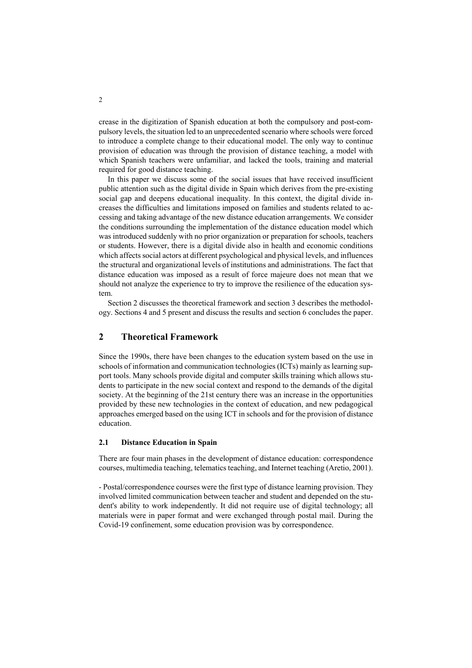crease in the digitization of Spanish education at both the compulsory and post-compulsory levels, the situation led to an unprecedented scenario where schools were forced to introduce a complete change to their educational model. The only way to continue provision of education was through the provision of distance teaching, a model with which Spanish teachers were unfamiliar, and lacked the tools, training and material required for good distance teaching.

In this paper we discuss some of the social issues that have received insufficient public attention such as the digital divide in Spain which derives from the pre-existing social gap and deepens educational inequality. In this context, the digital divide increases the difficulties and limitations imposed on families and students related to accessing and taking advantage of the new distance education arrangements. We consider the conditions surrounding the implementation of the distance education model which was introduced suddenly with no prior organization or preparation for schools, teachers or students. However, there is a digital divide also in health and economic conditions which affects social actors at different psychological and physical levels, and influences the structural and organizational levels of institutions and administrations. The fact that distance education was imposed as a result of force majeure does not mean that we should not analyze the experience to try to improve the resilience of the education system.

Section 2 discusses the theoretical framework and section 3 describes the methodology. Sections 4 and 5 present and discuss the results and section 6 concludes the paper.

# **2 Theoretical Framework**

Since the 1990s, there have been changes to the education system based on the use in schools of information and communication technologies (ICTs) mainly as learning support tools. Many schools provide digital and computer skills training which allows students to participate in the new social context and respond to the demands of the digital society. At the beginning of the 21st century there was an increase in the opportunities provided by these new technologies in the context of education, and new pedagogical approaches emerged based on the using ICT in schools and for the provision of distance education.

## **2.1 Distance Education in Spain**

There are four main phases in the development of distance education: correspondence courses, multimedia teaching, telematics teaching, and Internet teaching (Aretio, 2001).

- Postal/correspondence courses were the first type of distance learning provision. They involved limited communication between teacher and student and depended on the student's ability to work independently. It did not require use of digital technology; all materials were in paper format and were exchanged through postal mail. During the Covid-19 confinement, some education provision was by correspondence.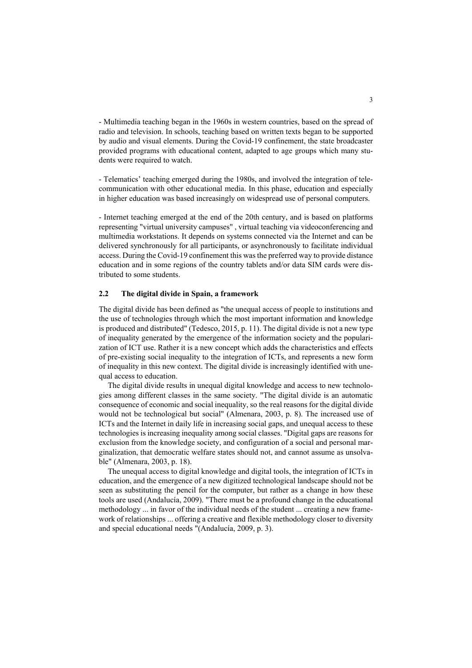- Multimedia teaching began in the 1960s in western countries, based on the spread of radio and television. In schools, teaching based on written texts began to be supported by audio and visual elements. During the Covid-19 confinement, the state broadcaster provided programs with educational content, adapted to age groups which many students were required to watch.

- Telematics' teaching emerged during the 1980s, and involved the integration of telecommunication with other educational media. In this phase, education and especially in higher education was based increasingly on widespread use of personal computers.

- Internet teaching emerged at the end of the 20th century, and is based on platforms representing "virtual university campuses" , virtual teaching via videoconferencing and multimedia workstations. It depends on systems connected via the Internet and can be delivered synchronously for all participants, or asynchronously to facilitate individual access. During the Covid-19 confinement this was the preferred way to provide distance education and in some regions of the country tablets and/or data SIM cards were distributed to some students.

### **2.2 The digital divide in Spain, a framework**

The digital divide has been defined as "the unequal access of people to institutions and the use of technologies through which the most important information and knowledge is produced and distributed" (Tedesco, 2015, p. 11). The digital divide is not a new type of inequality generated by the emergence of the information society and the popularization of ICT use. Rather it is a new concept which adds the characteristics and effects of pre-existing social inequality to the integration of ICTs, and represents a new form of inequality in this new context. The digital divide is increasingly identified with unequal access to education.

The digital divide results in unequal digital knowledge and access to new technologies among different classes in the same society. "The digital divide is an automatic consequence of economic and social inequality, so the real reasons for the digital divide would not be technological but social" (Almenara, 2003, p. 8). The increased use of ICTs and the Internet in daily life in increasing social gaps, and unequal access to these technologies is increasing inequality among social classes. "Digital gaps are reasons for exclusion from the knowledge society, and configuration of a social and personal marginalization, that democratic welfare states should not, and cannot assume as unsolvable" (Almenara, 2003, p. 18).

The unequal access to digital knowledge and digital tools, the integration of ICTs in education, and the emergence of a new digitized technological landscape should not be seen as substituting the pencil for the computer, but rather as a change in how these tools are used (Andalucía, 2009). "There must be a profound change in the educational methodology ... in favor of the individual needs of the student ... creating a new framework of relationships ... offering a creative and flexible methodology closer to diversity and special educational needs "(Andalucía, 2009, p. 3).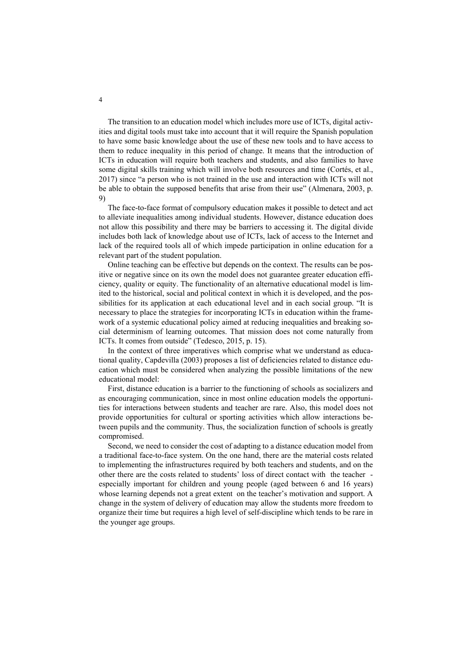The transition to an education model which includes more use of ICTs, digital activities and digital tools must take into account that it will require the Spanish population to have some basic knowledge about the use of these new tools and to have access to them to reduce inequality in this period of change. It means that the introduction of ICTs in education will require both teachers and students, and also families to have some digital skills training which will involve both resources and time (Cortés, et al., 2017) since "a person who is not trained in the use and interaction with ICTs will not be able to obtain the supposed benefits that arise from their use" (Almenara, 2003, p. 9)

The face-to-face format of compulsory education makes it possible to detect and act to alleviate inequalities among individual students. However, distance education does not allow this possibility and there may be barriers to accessing it. The digital divide includes both lack of knowledge about use of ICTs, lack of access to the Internet and lack of the required tools all of which impede participation in online education for a relevant part of the student population.

Online teaching can be effective but depends on the context. The results can be positive or negative since on its own the model does not guarantee greater education efficiency, quality or equity. The functionality of an alternative educational model is limited to the historical, social and political context in which it is developed, and the possibilities for its application at each educational level and in each social group. "It is necessary to place the strategies for incorporating ICTs in education within the framework of a systemic educational policy aimed at reducing inequalities and breaking social determinism of learning outcomes. That mission does not come naturally from ICTs. It comes from outside" (Tedesco, 2015, p. 15).

In the context of three imperatives which comprise what we understand as educational quality, Capdevilla (2003) proposes a list of deficiencies related to distance education which must be considered when analyzing the possible limitations of the new educational model:

First, distance education is a barrier to the functioning of schools as socializers and as encouraging communication, since in most online education models the opportunities for interactions between students and teacher are rare. Also, this model does not provide opportunities for cultural or sporting activities which allow interactions between pupils and the community. Thus, the socialization function of schools is greatly compromised.

Second, we need to consider the cost of adapting to a distance education model from a traditional face-to-face system. On the one hand, there are the material costs related to implementing the infrastructures required by both teachers and students, and on the other there are the costs related to students' loss of direct contact with the teacher especially important for children and young people (aged between 6 and 16 years) whose learning depends not a great extent on the teacher's motivation and support. A change in the system of delivery of education may allow the students more freedom to organize their time but requires a high level of self-discipline which tends to be rare in the younger age groups.

4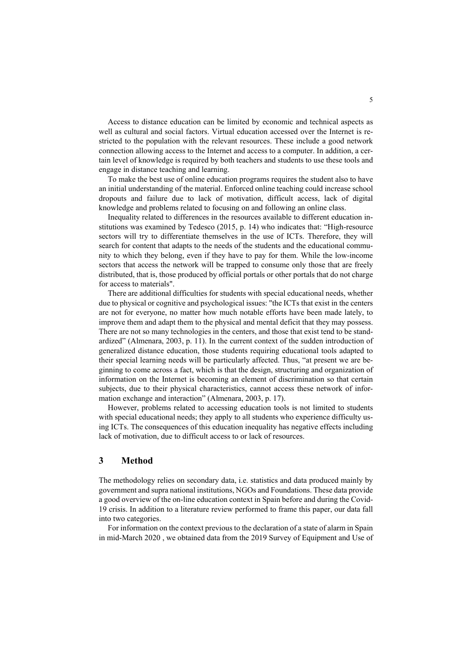Access to distance education can be limited by economic and technical aspects as well as cultural and social factors. Virtual education accessed over the Internet is restricted to the population with the relevant resources. These include a good network connection allowing access to the Internet and access to a computer. In addition, a certain level of knowledge is required by both teachers and students to use these tools and engage in distance teaching and learning.

To make the best use of online education programs requires the student also to have an initial understanding of the material. Enforced online teaching could increase school dropouts and failure due to lack of motivation, difficult access, lack of digital knowledge and problems related to focusing on and following an online class.

Inequality related to differences in the resources available to different education institutions was examined by Tedesco (2015, p. 14) who indicates that: "High-resource sectors will try to differentiate themselves in the use of ICTs. Therefore, they will search for content that adapts to the needs of the students and the educational community to which they belong, even if they have to pay for them. While the low-income sectors that access the network will be trapped to consume only those that are freely distributed, that is, those produced by official portals or other portals that do not charge for access to materials".

There are additional difficulties for students with special educational needs, whether due to physical or cognitive and psychological issues: "the ICTs that exist in the centers are not for everyone, no matter how much notable efforts have been made lately, to improve them and adapt them to the physical and mental deficit that they may possess. There are not so many technologies in the centers, and those that exist tend to be standardized" (Almenara, 2003, p. 11). In the current context of the sudden introduction of generalized distance education, those students requiring educational tools adapted to their special learning needs will be particularly affected. Thus, "at present we are beginning to come across a fact, which is that the design, structuring and organization of information on the Internet is becoming an element of discrimination so that certain subjects, due to their physical characteristics, cannot access these network of information exchange and interaction" (Almenara, 2003, p. 17).

However, problems related to accessing education tools is not limited to students with special educational needs; they apply to all students who experience difficulty using ICTs. The consequences of this education inequality has negative effects including lack of motivation, due to difficult access to or lack of resources.

## **3 Method**

The methodology relies on secondary data, i.e. statistics and data produced mainly by government and supra national institutions, NGOs and Foundations. These data provide a good overview of the on-line education context in Spain before and during the Covid-19 crisis. In addition to a literature review performed to frame this paper, our data fall into two categories.

For information on the context previous to the declaration of a state of alarm in Spain in mid-March 2020 , we obtained data from the 2019 Survey of Equipment and Use of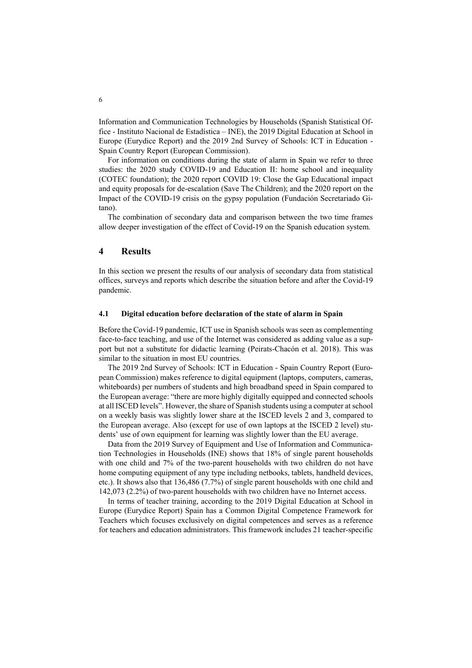Information and Communication Technologies by Households (Spanish Statistical Office - Instituto Nacional de Estadística – INE), the 2019 Digital Education at School in Europe (Eurydice Report) and the 2019 2nd Survey of Schools: ICT in Education - Spain Country Report (European Commission).

For information on conditions during the state of alarm in Spain we refer to three studies: the 2020 study COVID-19 and Education II: home school and inequality (COTEC foundation); the 2020 report COVID 19: Close the Gap Educational impact and equity proposals for de-escalation (Save The Children); and the 2020 report on the Impact of the COVID-19 crisis on the gypsy population (Fundación Secretariado Gitano).

The combination of secondary data and comparison between the two time frames allow deeper investigation of the effect of Covid-19 on the Spanish education system.

## **4 Results**

In this section we present the results of our analysis of secondary data from statistical offices, surveys and reports which describe the situation before and after the Covid-19 pandemic.

### **4.1 Digital education before declaration of the state of alarm in Spain**

Before the Covid-19 pandemic, ICT use in Spanish schools was seen as complementing face-to-face teaching, and use of the Internet was considered as adding value as a support but not a substitute for didactic learning (Peirats-Chacón et al. 2018). This was similar to the situation in most EU countries.

The 2019 2nd Survey of Schools: ICT in Education - Spain Country Report (European Commission) makes reference to digital equipment (laptops, computers, cameras, whiteboards) per numbers of students and high broadband speed in Spain compared to the European average: "there are more highly digitally equipped and connected schools at all ISCED levels". However, the share of Spanish students using a computer at school on a weekly basis was slightly lower share at the ISCED levels 2 and 3, compared to the European average. Also (except for use of own laptops at the ISCED 2 level) students' use of own equipment for learning was slightly lower than the EU average.

Data from the 2019 Survey of Equipment and Use of Information and Communication Technologies in Households (INE) shows that 18% of single parent households with one child and 7% of the two-parent households with two children do not have home computing equipment of any type including netbooks, tablets, handheld devices, etc.). It shows also that 136,486 (7.7%) of single parent households with one child and 142,073 (2.2%) of two-parent households with two children have no Internet access.

In terms of teacher training, according to the 2019 Digital Education at School in Europe (Eurydice Report) Spain has a Common Digital Competence Framework for Teachers which focuses exclusively on digital competences and serves as a reference for teachers and education administrators. This framework includes 21 teacher-specific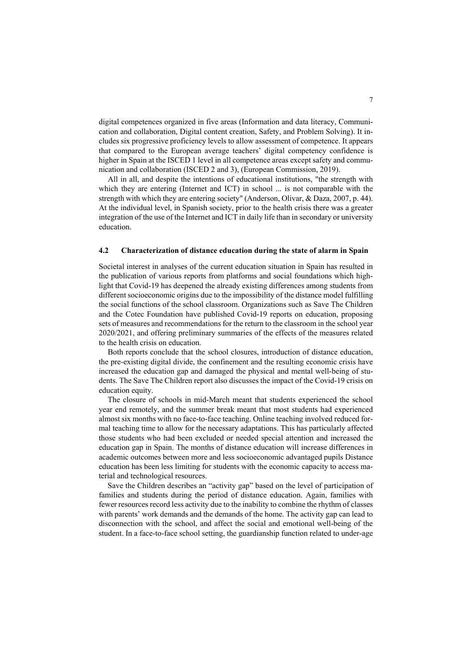digital competences organized in five areas (Information and data literacy, Communication and collaboration, Digital content creation, Safety, and Problem Solving). It includes six progressive proficiency levels to allow assessment of competence. It appears that compared to the European average teachers' digital competency confidence is higher in Spain at the ISCED 1 level in all competence areas except safety and communication and collaboration (ISCED 2 and 3), (European Commission, 2019).

All in all, and despite the intentions of educational institutions, "the strength with which they are entering (Internet and ICT) in school ... is not comparable with the strength with which they are entering society" (Anderson, Olivar, & Daza, 2007, p. 44). At the individual level, in Spanish society, prior to the health crisis there was a greater integration of the use of the Internet and ICT in daily life than in secondary or university education.

### **4.2 Characterization of distance education during the state of alarm in Spain**

Societal interest in analyses of the current education situation in Spain has resulted in the publication of various reports from platforms and social foundations which highlight that Covid-19 has deepened the already existing differences among students from different socioeconomic origins due to the impossibility of the distance model fulfilling the social functions of the school classroom. Organizations such as Save The Children and the Cotec Foundation have published Covid-19 reports on education, proposing sets of measures and recommendations for the return to the classroom in the school year 2020/2021, and offering preliminary summaries of the effects of the measures related to the health crisis on education.

Both reports conclude that the school closures, introduction of distance education, the pre-existing digital divide, the confinement and the resulting economic crisis have increased the education gap and damaged the physical and mental well-being of students. The Save The Children report also discusses the impact of the Covid-19 crisis on education equity.

The closure of schools in mid-March meant that students experienced the school year end remotely, and the summer break meant that most students had experienced almost six months with no face-to-face teaching. Online teaching involved reduced formal teaching time to allow for the necessary adaptations. This has particularly affected those students who had been excluded or needed special attention and increased the education gap in Spain. The months of distance education will increase differences in academic outcomes between more and less socioeconomic advantaged pupils Distance education has been less limiting for students with the economic capacity to access material and technological resources.

Save the Children describes an "activity gap" based on the level of participation of families and students during the period of distance education. Again, families with fewer resources record less activity due to the inability to combine the rhythm of classes with parents' work demands and the demands of the home. The activity gap can lead to disconnection with the school, and affect the social and emotional well-being of the student. In a face-to-face school setting, the guardianship function related to under-age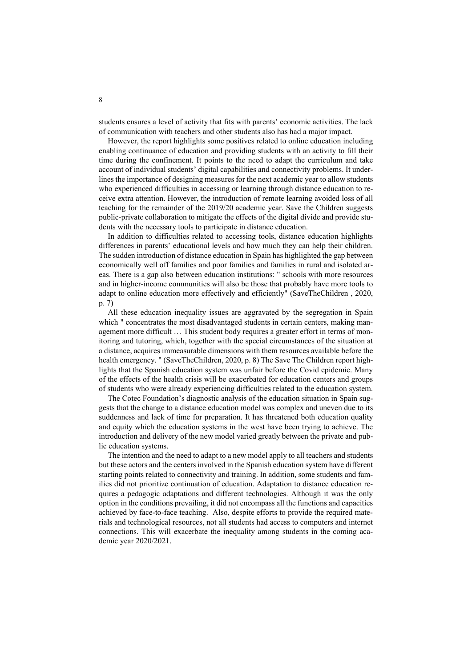students ensures a level of activity that fits with parents' economic activities. The lack of communication with teachers and other students also has had a major impact.

However, the report highlights some positives related to online education including enabling continuance of education and providing students with an activity to fill their time during the confinement. It points to the need to adapt the curriculum and take account of individual students' digital capabilities and connectivity problems. It underlines the importance of designing measures for the next academic year to allow students who experienced difficulties in accessing or learning through distance education to receive extra attention. However, the introduction of remote learning avoided loss of all teaching for the remainder of the 2019/20 academic year. Save the Children suggests public-private collaboration to mitigate the effects of the digital divide and provide students with the necessary tools to participate in distance education.

In addition to difficulties related to accessing tools, distance education highlights differences in parents' educational levels and how much they can help their children. The sudden introduction of distance education in Spain has highlighted the gap between economically well off families and poor families and families in rural and isolated areas. There is a gap also between education institutions: " schools with more resources and in higher-income communities will also be those that probably have more tools to adapt to online education more effectively and efficiently" (SaveTheChildren , 2020, p. 7)

All these education inequality issues are aggravated by the segregation in Spain which " concentrates the most disadvantaged students in certain centers, making management more difficult … This student body requires a greater effort in terms of monitoring and tutoring, which, together with the special circumstances of the situation at a distance, acquires immeasurable dimensions with them resources available before the health emergency. " (SaveTheChildren, 2020, p. 8) The Save The Children report highlights that the Spanish education system was unfair before the Covid epidemic. Many of the effects of the health crisis will be exacerbated for education centers and groups of students who were already experiencing difficulties related to the education system.

The Cotec Foundation's diagnostic analysis of the education situation in Spain suggests that the change to a distance education model was complex and uneven due to its suddenness and lack of time for preparation. It has threatened both education quality and equity which the education systems in the west have been trying to achieve. The introduction and delivery of the new model varied greatly between the private and public education systems.

The intention and the need to adapt to a new model apply to all teachers and students but these actors and the centers involved in the Spanish education system have different starting points related to connectivity and training. In addition, some students and families did not prioritize continuation of education. Adaptation to distance education requires a pedagogic adaptations and different technologies. Although it was the only option in the conditions prevailing, it did not encompass all the functions and capacities achieved by face-to-face teaching. Also, despite efforts to provide the required materials and technological resources, not all students had access to computers and internet connections. This will exacerbate the inequality among students in the coming academic year 2020/2021.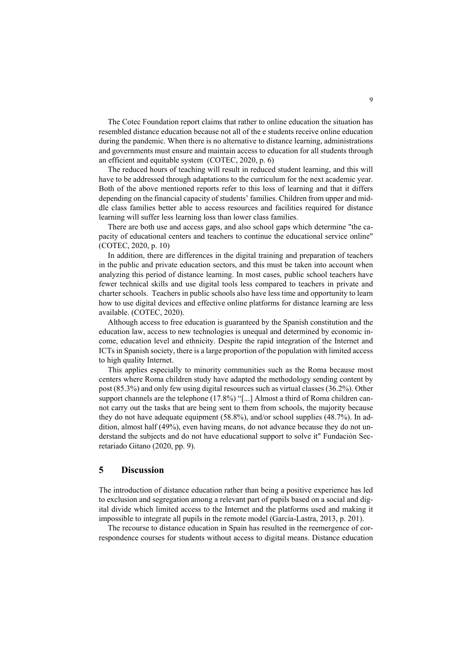The Cotec Foundation report claims that rather to online education the situation has resembled distance education because not all of the e students receive online education during the pandemic. When there is no alternative to distance learning, administrations and governments must ensure and maintain access to education for all students through an efficient and equitable system (COTEC, 2020, p. 6)

The reduced hours of teaching will result in reduced student learning, and this will have to be addressed through adaptations to the curriculum for the next academic year. Both of the above mentioned reports refer to this loss of learning and that it differs depending on the financial capacity of students' families. Children from upper and middle class families better able to access resources and facilities required for distance learning will suffer less learning loss than lower class families.

There are both use and access gaps, and also school gaps which determine "the capacity of educational centers and teachers to continue the educational service online" (COTEC, 2020, p. 10)

In addition, there are differences in the digital training and preparation of teachers in the public and private education sectors, and this must be taken into account when analyzing this period of distance learning. In most cases, public school teachers have fewer technical skills and use digital tools less compared to teachers in private and charter schools. Teachers in public schools also have less time and opportunity to learn how to use digital devices and effective online platforms for distance learning are less available. (COTEC, 2020).

Although access to free education is guaranteed by the Spanish constitution and the education law, access to new technologies is unequal and determined by economic income, education level and ethnicity. Despite the rapid integration of the Internet and ICTs in Spanish society, there is a large proportion of the population with limited access to high quality Internet.

This applies especially to minority communities such as the Roma because most centers where Roma children study have adapted the methodology sending content by post (85.3%) and only few using digital resources such as virtual classes (36.2%). Other support channels are the telephone (17.8%) "[...] Almost a third of Roma children cannot carry out the tasks that are being sent to them from schools, the majority because they do not have adequate equipment (58.8%), and/or school supplies (48.7%). In addition, almost half (49%), even having means, do not advance because they do not understand the subjects and do not have educational support to solve it" Fundación Secretariado Gitano (2020, pp. 9).

## **5 Discussion**

The introduction of distance education rather than being a positive experience has led to exclusion and segregation among a relevant part of pupils based on a social and digital divide which limited access to the Internet and the platforms used and making it impossible to integrate all pupils in the remote model (García-Lastra, 2013, p. 201).

The recourse to distance education in Spain has resulted in the reemergence of correspondence courses for students without access to digital means. Distance education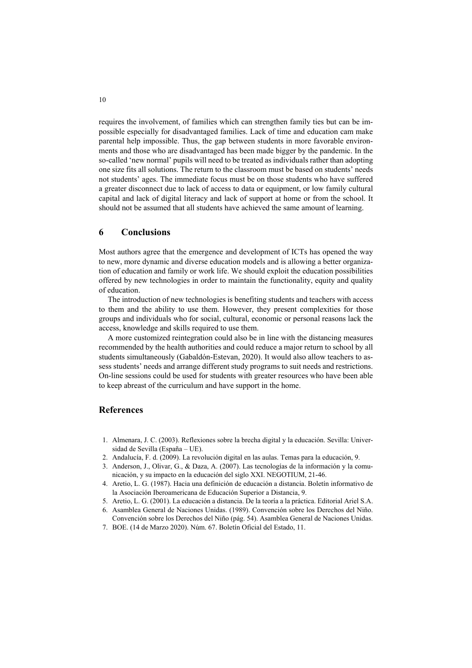requires the involvement, of families which can strengthen family ties but can be impossible especially for disadvantaged families. Lack of time and education cam make parental help impossible. Thus, the gap between students in more favorable environments and those who are disadvantaged has been made bigger by the pandemic. In the so-called 'new normal' pupils will need to be treated as individuals rather than adopting one size fits all solutions. The return to the classroom must be based on students' needs not students' ages. The immediate focus must be on those students who have suffered a greater disconnect due to lack of access to data or equipment, or low family cultural capital and lack of digital literacy and lack of support at home or from the school. It should not be assumed that all students have achieved the same amount of learning.

## **6 Conclusions**

Most authors agree that the emergence and development of ICTs has opened the way to new, more dynamic and diverse education models and is allowing a better organization of education and family or work life. We should exploit the education possibilities offered by new technologies in order to maintain the functionality, equity and quality of education.

The introduction of new technologies is benefiting students and teachers with access to them and the ability to use them. However, they present complexities for those groups and individuals who for social, cultural, economic or personal reasons lack the access, knowledge and skills required to use them.

A more customized reintegration could also be in line with the distancing measures recommended by the health authorities and could reduce a major return to school by all students simultaneously (Gabaldón-Estevan, 2020). It would also allow teachers to assess students' needs and arrange different study programs to suit needs and restrictions. On-line sessions could be used for students with greater resources who have been able to keep abreast of the curriculum and have support in the home.

## **References**

- 1. Almenara, J. C. (2003). Reflexiones sobre la brecha digital y la educación. Sevilla: Universidad de Sevilla (España – UE).
- 2. Andalucía, F. d. (2009). La revolución digital en las aulas. Temas para la educación, 9.
- 3. Anderson, J., Olivar, G., & Daza, A. (2007). Las tecnologías de la información y la comunicación, y su impacto en la educación del siglo XXI. NEGOTIUM, 21-46.
- 4. Aretio, L. G. (1987). Hacia una definición de educación a distancia. Boletín informativo de la Asociación Iberoamericana de Educación Superior a Distancia, 9.
- 5. Aretio, L. G. (2001). La educación a distancia. De la teoría a la práctica. Editorial Ariel S.A.
- 6. Asamblea General de Naciones Unidas. (1989). Convención sobre los Derechos del Niño. Convención sobre los Derechos del Niño (pág. 54). Asamblea General de Naciones Unidas.
- 7. BOE. (14 de Marzo 2020). Núm. 67. Boletín Oficial del Estado, 11.